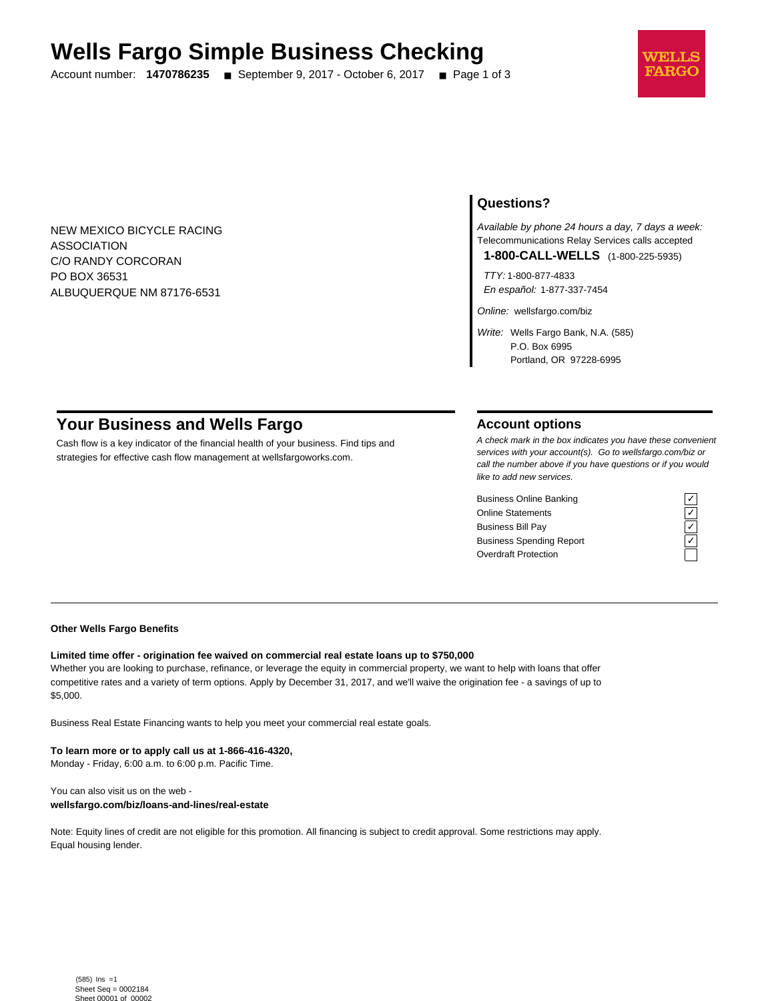# **Wells Fargo Simple Business Checking**

Account number: **1470786235** ■ September 9, 2017 - October 6, 2017 ■ Page 1 of 3



NEW MEXICO BICYCLE RACING ASSOCIATION C/O RANDY CORCORAN PO BOX 36531 ALBUQUERQUE NM 87176-6531

## **Questions?**

Available by phone 24 hours a day, 7 days a week: Telecommunications Relay Services calls accepted

**1-800-CALL-WELLS** (1-800-225-5935)

TTY: 1-800-877-4833 En español: 1-877-337-7454

Online: wellsfargo.com/biz

Write: Wells Fargo Bank, N.A. (585) P.O. Box 6995 Portland, OR 97228-6995

# **Your Business and Wells Fargo**

Cash flow is a key indicator of the financial health of your business. Find tips and strategies for effective cash flow management at wellsfargoworks.com.

## **Account options**

A check mark in the box indicates you have these convenient services with your account(s). Go to wellsfargo.com/biz or call the number above if you have questions or if you would like to add new services.

Business Online Banking Online Statements ✓ Business Bill Pay Business Spending Report Overdraft Protection

## **Other Wells Fargo Benefits**

## **Limited time offer - origination fee waived on commercial real estate loans up to \$750,000**

Whether you are looking to purchase, refinance, or leverage the equity in commercial property, we want to help with loans that offer competitive rates and a variety of term options. Apply by December 31, 2017, and we'll waive the origination fee - a savings of up to \$5,000.

Business Real Estate Financing wants to help you meet your commercial real estate goals.

**To learn more or to apply call us at 1-866-416-4320,** Monday - Friday, 6:00 a.m. to 6:00 p.m. Pacific Time.

You can also visit us on the web **wellsfargo.com/biz/loans-and-lines/real-estate**

Note: Equity lines of credit are not eligible for this promotion. All financing is subject to credit approval. Some restrictions may apply. Equal housing lender.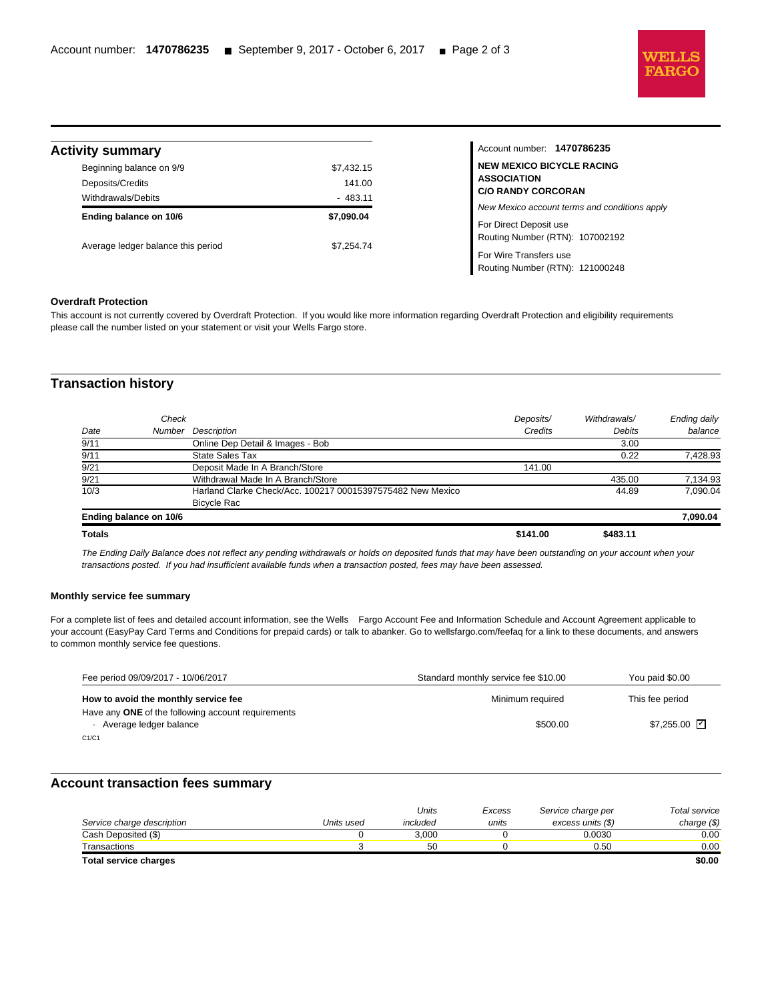

Routing Number (RTN): 121000248

| <b>Activity summary</b>                      |                      | Account number: 1470786235                                              |  |
|----------------------------------------------|----------------------|-------------------------------------------------------------------------|--|
| Beginning balance on 9/9<br>Deposits/Credits | \$7,432.15<br>141.00 | <b>NEW MEXICO BICYCLE RACING</b><br><b>ASSOCIATION</b>                  |  |
| Withdrawals/Debits                           | $-483.11$            | <b>C/O RANDY CORCORAN</b>                                               |  |
| Ending balance on 10/6                       | \$7,090.04           | New Mexico account terms and conditions apply<br>For Direct Deposit use |  |
| Average ledger balance this period           | \$7,254.74           | Routing Number (RTN): 107002192                                         |  |
|                                              |                      | For Wire Transfers use                                                  |  |

#### **Overdraft Protection**

l

This account is not currently covered by Overdraft Protection. If you would like more information regarding Overdraft Protection and eligibility requirements please call the number listed on your statement or visit your Wells Fargo store.

## **Transaction history**

| <b>Totals</b>          |                                                            | \$141.00  | \$483.11      |              |
|------------------------|------------------------------------------------------------|-----------|---------------|--------------|
| Ending balance on 10/6 |                                                            |           |               | 7,090.04     |
|                        | <b>Bicycle Rac</b>                                         |           |               |              |
| 10/3                   | Harland Clarke Check/Acc. 100217 00015397575482 New Mexico |           | 44.89         | 7.090.04     |
| 9/21                   | Withdrawal Made In A Branch/Store                          |           | 435.00        | 7,134.93     |
| 9/21                   | Deposit Made In A Branch/Store                             | 141.00    |               |              |
| 9/11                   | <b>State Sales Tax</b>                                     |           | 0.22          | 7,428.93     |
| 9/11                   | Online Dep Detail & Images - Bob                           |           | 3.00          |              |
| Date                   | Description<br>Number                                      | Credits   | <b>Debits</b> | balance      |
|                        | Check                                                      | Deposits/ | Withdrawals/  | Ending daily |
|                        |                                                            |           |               |              |

The Ending Daily Balance does not reflect any pending withdrawals or holds on deposited funds that may have been outstanding on your account when your transactions posted. If you had insufficient available funds when a transaction posted, fees may have been assessed.

### **Monthly service fee summary**

For a complete list of fees and detailed account information, see the Wells Fargo Account Fee and Information Schedule and Account Agreement applicable to your account (EasyPay Card Terms and Conditions for prepaid cards) or talk to abanker. Go to wellsfargo.com/feefaq for a link to these documents, and answers to common monthly service fee questions.

| Fee period 09/09/2017 - 10/06/2017                                           | Standard monthly service fee \$10.00 | You paid \$0.00             |
|------------------------------------------------------------------------------|--------------------------------------|-----------------------------|
| How to avoid the monthly service fee                                         | Minimum required                     | This fee period             |
| Have any ONE of the following account requirements<br>Average ledger balance | \$500.00                             | $$7.255.00$ $\triangledown$ |
| C1/C1                                                                        |                                      |                             |

## **Account transaction fees summary**

|                            |            | Units    | Excess | Service charge per | Total service |
|----------------------------|------------|----------|--------|--------------------|---------------|
| Service charge description | Units used | included | units  | excess units (\$)  | charge $(\$)$ |
| Cash Deposited (\$)        |            | 3.000    |        | 0.0030             | 0.00          |
| Transactions               |            | 50       |        | 0.50               | 0.00          |
| Total service charges      |            |          |        |                    | \$0.00        |